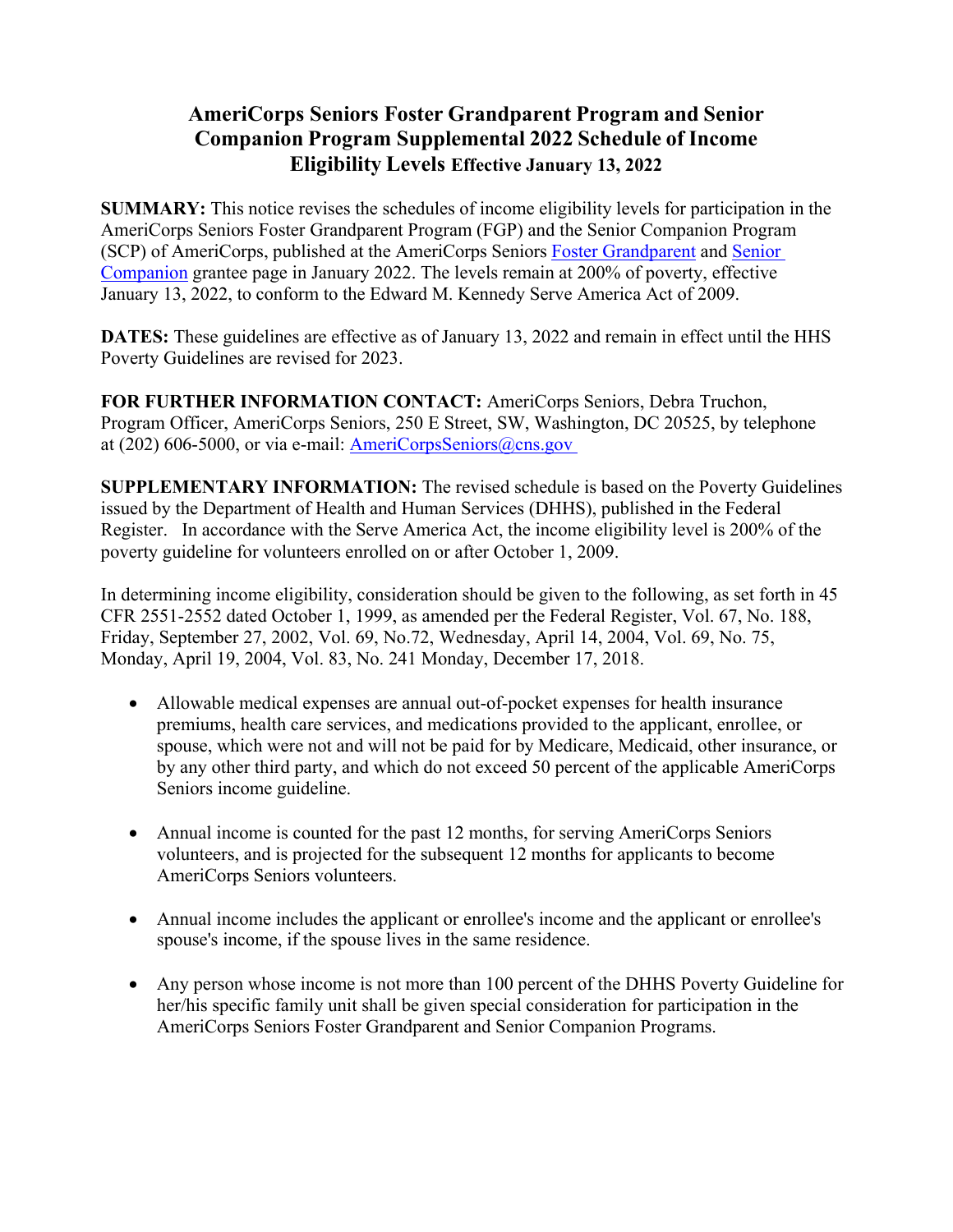## **AmeriCorps Seniors Foster Grandparent Program and Senior Companion Program Supplemental 2022 Schedule of Income Eligibility Levels Effective January 13, 2022**

**SUMMARY:** This notice revises the schedules of income eligibility levels for participation in the AmeriCorps Seniors Foster Grandparent Program (FGP) and the Senior Companion Program (SCP) of AmeriCorps, published at the AmeriCorps Seniors Foster [Grandparent](https://americorps.gov/grantees-sponsors/fgp) and [Senior](https://americorps.gov/grantees-sponsors/SCP)  [Companion](https://americorps.gov/grantees-sponsors/SCP) grantee page in January 2022. The levels remain at 200% of poverty, effective January 13, 2022, to conform to the Edward M. Kennedy Serve America Act of 2009.

**DATES:** These guidelines are effective as of January 13, 2022 and remain in effect until the HHS Poverty Guidelines are revised for 2023.

**FOR FURTHER INFORMATION CONTACT:** AmeriCorps Seniors, Debra Truchon, Program Officer, AmeriCorps Seniors, 250 E Street, SW, Washington, DC 20525, by telephone at (202) 606-5000, or via e-mail: **AmeriCorpsSeniors**@cns.gov

**SUPPLEMENTARY INFORMATION:** The revised schedule is based on the Poverty Guidelines issued by the Department of Health and Human Services (DHHS), published in the Federal Register. In accordance with the Serve America Act, the income eligibility level is 200% of the poverty guideline for volunteers enrolled on or after October 1, 2009.

In determining income eligibility, consideration should be given to the following, as set forth in 45 CFR 2551-2552 dated October 1, 1999, as amended per the Federal Register, Vol. 67, No. 188, Friday, September 27, 2002, Vol. 69, No.72, Wednesday, April 14, 2004, Vol. 69, No. 75, Monday, April 19, 2004, Vol. 83, No. 241 Monday, December 17, 2018.

- Allowable medical expenses are annual out-of-pocket expenses for health insurance premiums, health care services, and medications provided to the applicant, enrollee, or spouse, which were not and will not be paid for by Medicare, Medicaid, other insurance, or by any other third party, and which do not exceed 50 percent of the applicable AmeriCorps Seniors income guideline.
- Annual income is counted for the past 12 months, for serving AmeriCorps Seniors volunteers, and is projected for the subsequent 12 months for applicants to become AmeriCorps Seniors volunteers.
- Annual income includes the applicant or enrollee's income and the applicant or enrollee's spouse's income, if the spouse lives in the same residence.
- Any person whose income is not more than 100 percent of the DHHS Poverty Guideline for her/his specific family unit shall be given special consideration for participation in the AmeriCorps Seniors Foster Grandparent and Senior Companion Programs.